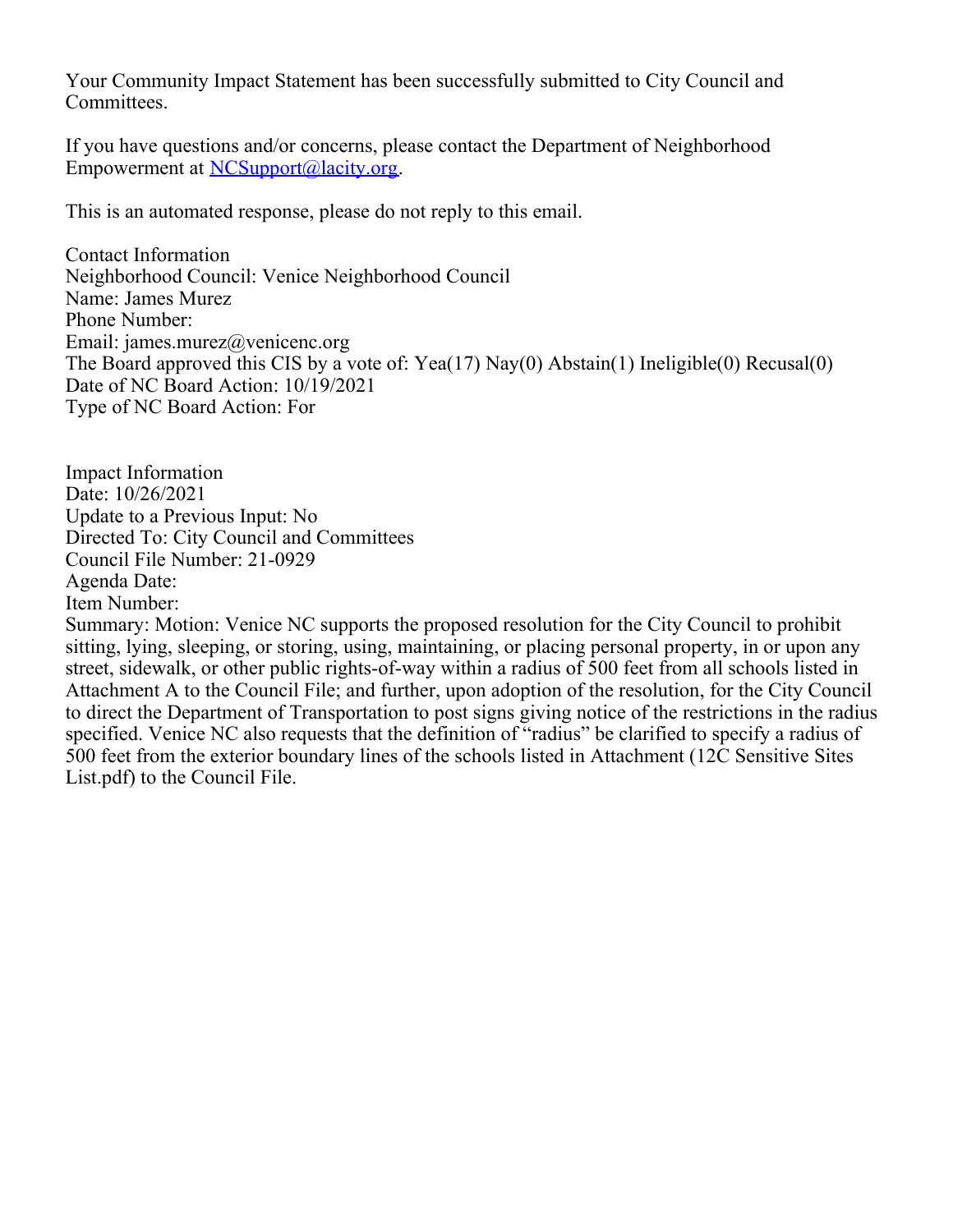Your Community Impact Statement has been successfully submitted to City Council and Committees.

If you have questions and/or concerns, please contact the Department of Neighborhood Empowerment at [NCSupport@lacity.org](mailto:NCSupport@lacity.org).

This is an automated response, please do not reply to this email.

Contact Information Neighborhood Council: Venice Neighborhood Council Name: James Murez Phone Number: Email: james.murez@venicenc.org The Board approved this CIS by a vote of: Yea(17) Nay(0) Abstain(1) Ineligible(0) Recusal(0) Date of NC Board Action: 10/19/2021 Type of NC Board Action: For

Impact Information Date: 10/26/2021 Update to a Previous Input: No Directed To: City Council and Committees Council File Number: 21-0929 Agenda Date: Item Number:

Summary: Motion: Venice NC supports the proposed resolution for the City Council to prohibit sitting, lying, sleeping, or storing, using, maintaining, or placing personal property, in or upon any street, sidewalk, or other public rights-of-way within a radius of 500 feet from all schools listed in Attachment A to the Council File; and further, upon adoption of the resolution, for the City Council to direct the Department of Transportation to post signs giving notice of the restrictions in the radius specified. Venice NC also requests that the definition of "radius" be clarified to specify a radius of 500 feet from the exterior boundary lines of the schools listed in Attachment (12C Sensitive Sites List.pdf) to the Council File.